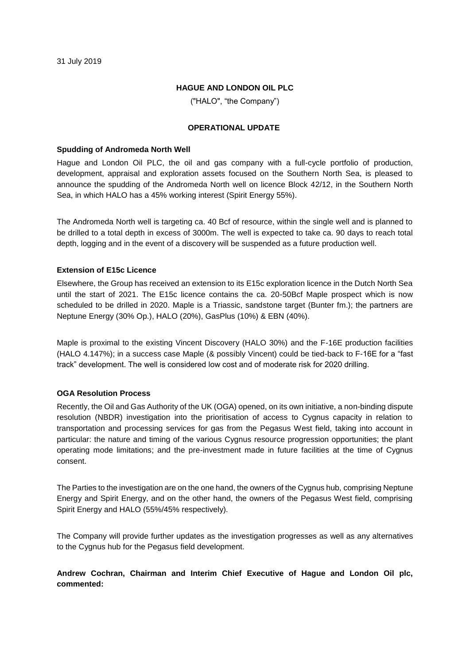#### **HAGUE AND LONDON OIL PLC**

("HALO", "the Company")

#### **OPERATIONAL UPDATE**

#### **Spudding of Andromeda North Well**

Hague and London Oil PLC, the oil and gas company with a full-cycle portfolio of production, development, appraisal and exploration assets focused on the Southern North Sea, is pleased to announce the spudding of the Andromeda North well on licence Block 42/12, in the Southern North Sea, in which HALO has a 45% working interest (Spirit Energy 55%).

The Andromeda North well is targeting ca. 40 Bcf of resource, within the single well and is planned to be drilled to a total depth in excess of 3000m. The well is expected to take ca. 90 days to reach total depth, logging and in the event of a discovery will be suspended as a future production well.

### **Extension of E15c Licence**

Elsewhere, the Group has received an extension to its E15c exploration licence in the Dutch North Sea until the start of 2021. The E15c licence contains the ca. 20-50Bcf Maple prospect which is now scheduled to be drilled in 2020. Maple is a Triassic, sandstone target (Bunter fm.); the partners are Neptune Energy (30% Op.), HALO (20%), GasPlus (10%) & EBN (40%).

Maple is proximal to the existing Vincent Discovery (HALO 30%) and the F-16E production facilities (HALO 4.147%); in a success case Maple (& possibly Vincent) could be tied-back to F-16E for a "fast track" development. The well is considered low cost and of moderate risk for 2020 drilling.

### **OGA Resolution Process**

Recently, the Oil and Gas Authority of the UK (OGA) opened, on its own initiative, a non-binding dispute resolution (NBDR) investigation into the prioritisation of access to Cygnus capacity in relation to transportation and processing services for gas from the Pegasus West field, taking into account in particular: the nature and timing of the various Cygnus resource progression opportunities; the plant operating mode limitations; and the pre-investment made in future facilities at the time of Cygnus consent.

The Parties to the investigation are on the one hand, the owners of the Cygnus hub, comprising Neptune Energy and Spirit Energy, and on the other hand, the owners of the Pegasus West field, comprising Spirit Energy and HALO (55%/45% respectively).

The Company will provide further updates as the investigation progresses as well as any alternatives to the Cygnus hub for the Pegasus field development.

# **Andrew Cochran, Chairman and Interim Chief Executive of Hague and London Oil plc, commented:**